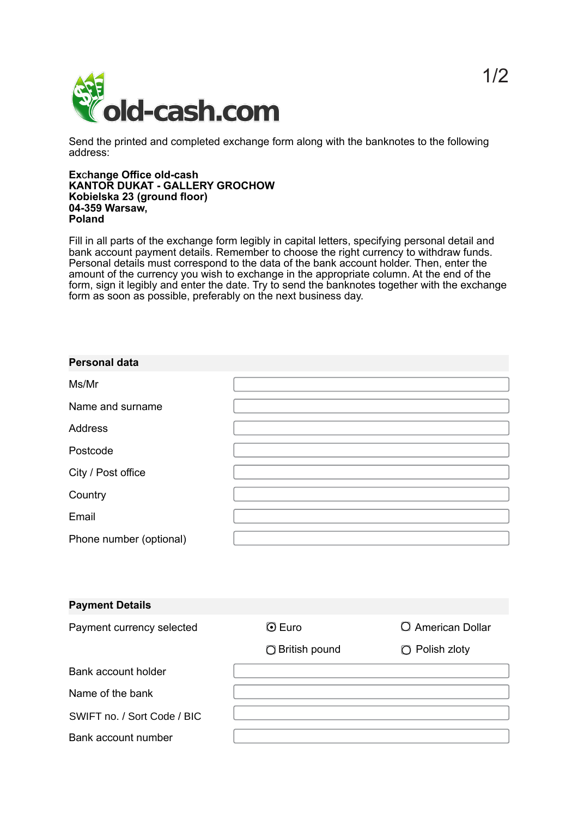

Send the printed and completed exchange form along with the banknotes to the following address:

## **Ex**c**hange Office old-cash KANTOR DUKAT - GALLERY GROCHOW Kobielska 23 (ground floor) 04-359 Warsaw, Poland**

Fill in all parts of the exchange form legibly in capital letters, specifying personal detail and bank account payment details. Remember to choose the right currency to withdraw funds. Personal details must correspond to the data of the bank account holder. Then, enter the amount of the currency you wish to exchange in the appropriate column. At the end of the form, sign it legibly and enter the date. Try to send the banknotes together with the exchange form as soon as possible, preferably on the next business day.

| <b>Personal data</b>    |  |
|-------------------------|--|
| Ms/Mr                   |  |
| Name and surname        |  |
| <b>Address</b>          |  |
| Postcode                |  |
| City / Post office      |  |
| Country                 |  |
| Email                   |  |
| Phone number (optional) |  |

| <b>Payment Details</b>      |                 |                     |
|-----------------------------|-----------------|---------------------|
| Payment currency selected   | $\odot$ Euro    | O American Dollar   |
|                             | ◯ British pound | $\Box$ Polish zloty |
| Bank account holder         |                 |                     |
| Name of the bank            |                 |                     |
| SWIFT no. / Sort Code / BIC |                 |                     |
| Bank account number         |                 |                     |